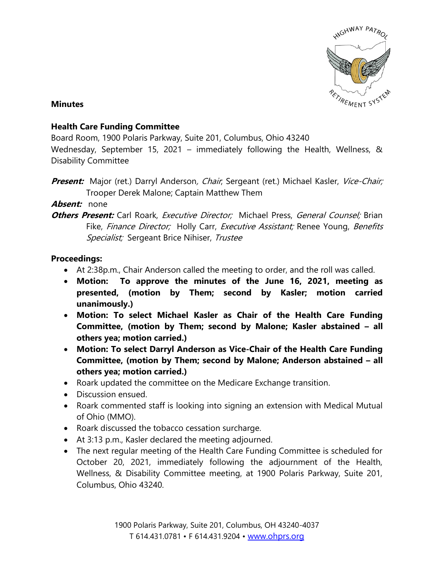

#### **Minutes**

### **Health Care Funding Committee**

Board Room, 1900 Polaris Parkway, Suite 201, Columbus, Ohio 43240

Wednesday, September 15, 2021 – immediately following the Health, Wellness, & Disability Committee

**Present:** Major (ret.) Darryl Anderson, Chair, Sergeant (ret.) Michael Kasler, Vice-Chair; Trooper Derek Malone; Captain Matthew Them

**Absent:** none

## **Others Present:** Carl Roark, *Executive Director*; Michael Press, *General Counsel:* Brian Fike, Finance Director; Holly Carr, Executive Assistant; Renee Young, Benefits Specialist; Sergeant Brice Nihiser, Trustee

### **Proceedings:**

- At 2:38p.m., Chair Anderson called the meeting to order, and the roll was called.
- **Motion: To approve the minutes of the June 16, 2021, meeting as presented, (motion by Them; second by Kasler; motion carried unanimously.)**
- **Motion: To select Michael Kasler as Chair of the Health Care Funding Committee, (motion by Them; second by Malone; Kasler abstained – all others yea; motion carried.)**
- **Motion: To select Darryl Anderson as Vice-Chair of the Health Care Funding Committee, (motion by Them; second by Malone; Anderson abstained – all others yea; motion carried.)**
- Roark updated the committee on the Medicare Exchange transition.
- Discussion ensued.
- Roark commented staff is looking into signing an extension with Medical Mutual of Ohio (MMO).
- Roark discussed the tobacco cessation surcharge.
- At 3:13 p.m., Kasler declared the meeting adjourned.
- The next regular meeting of the Health Care Funding Committee is scheduled for October 20, 2021, immediately following the adjournment of the Health, Wellness, & Disability Committee meeting, at 1900 Polaris Parkway, Suite 201, Columbus, Ohio 43240.